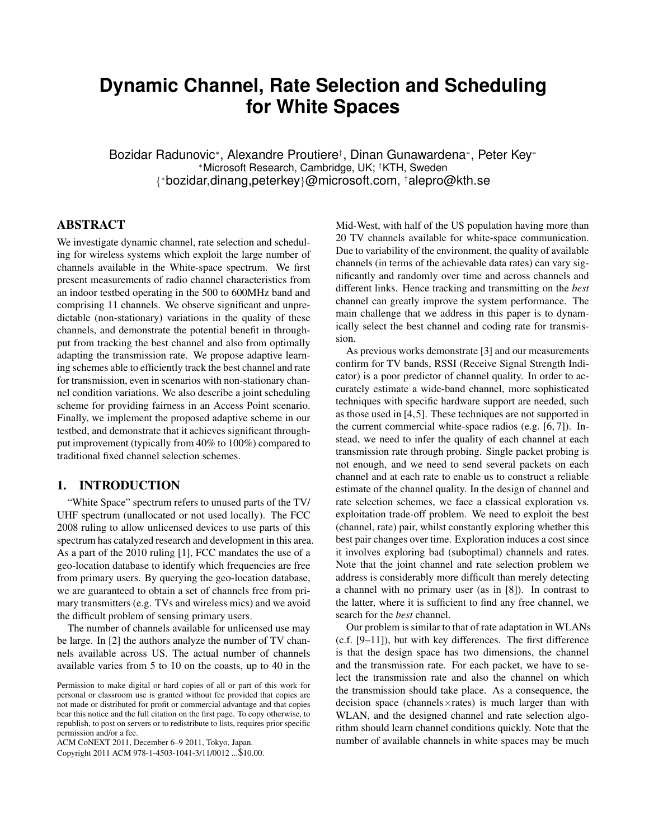# **Dynamic Channel, Rate Selection and Scheduling for White Spaces**

Bozidar Radunovic<sup>∗</sup> , Alexandre Proutiere† , Dinan Gunawardena<sup>∗</sup> , Peter Key<sup>∗</sup> <sup>∗</sup>Microsoft Research, Cambridge, UK; †KTH, Sweden { <sup>∗</sup>bozidar,dinang,peterkey}@microsoft.com, †alepro@kth.se

# ABSTRACT

We investigate dynamic channel, rate selection and scheduling for wireless systems which exploit the large number of channels available in the White-space spectrum. We first present measurements of radio channel characteristics from an indoor testbed operating in the 500 to 600MHz band and comprising 11 channels. We observe significant and unpredictable (non-stationary) variations in the quality of these channels, and demonstrate the potential benefit in throughput from tracking the best channel and also from optimally adapting the transmission rate. We propose adaptive learning schemes able to efficiently track the best channel and rate for transmission, even in scenarios with non-stationary channel condition variations. We also describe a joint scheduling scheme for providing fairness in an Access Point scenario. Finally, we implement the proposed adaptive scheme in our testbed, and demonstrate that it achieves significant throughput improvement (typically from 40% to 100%) compared to traditional fixed channel selection schemes.

# 1. INTRODUCTION

"White Space" spectrum refers to unused parts of the TV/ UHF spectrum (unallocated or not used locally). The FCC 2008 ruling to allow unlicensed devices to use parts of this spectrum has catalyzed research and development in this area. As a part of the 2010 ruling [1], FCC mandates the use of a geo-location database to identify which frequencies are free from primary users. By querying the geo-location database, we are guaranteed to obtain a set of channels free from primary transmitters (e.g. TVs and wireless mics) and we avoid the difficult problem of sensing primary users.

The number of channels available for unlicensed use may be large. In [2] the authors analyze the number of TV channels available across US. The actual number of channels available varies from 5 to 10 on the coasts, up to 40 in the

ACM CoNEXT 2011, December 6–9 2011, Tokyo, Japan.

Copyright 2011 ACM 978-1-4503-1041-3/11/0012 ...\$10.00.

Mid-West, with half of the US population having more than 20 TV channels available for white-space communication. Due to variability of the environment, the quality of available channels (in terms of the achievable data rates) can vary significantly and randomly over time and across channels and different links. Hence tracking and transmitting on the *best* channel can greatly improve the system performance. The main challenge that we address in this paper is to dynamically select the best channel and coding rate for transmission.

As previous works demonstrate [3] and our measurements confirm for TV bands, RSSI (Receive Signal Strength Indicator) is a poor predictor of channel quality. In order to accurately estimate a wide-band channel, more sophisticated techniques with specific hardware support are needed, such as those used in [4,5]. These techniques are not supported in the current commercial white-space radios (e.g. [6, 7]). Instead, we need to infer the quality of each channel at each transmission rate through probing. Single packet probing is not enough, and we need to send several packets on each channel and at each rate to enable us to construct a reliable estimate of the channel quality. In the design of channel and rate selection schemes, we face a classical exploration vs. exploitation trade-off problem. We need to exploit the best (channel, rate) pair, whilst constantly exploring whether this best pair changes over time. Exploration induces a cost since it involves exploring bad (suboptimal) channels and rates. Note that the joint channel and rate selection problem we address is considerably more difficult than merely detecting a channel with no primary user (as in [8]). In contrast to the latter, where it is sufficient to find any free channel, we search for the *best* channel.

Our problem is similar to that of rate adaptation in WLANs (c.f. [9–11]), but with key differences. The first difference is that the design space has two dimensions, the channel and the transmission rate. For each packet, we have to select the transmission rate and also the channel on which the transmission should take place. As a consequence, the decision space (channels×rates) is much larger than with WLAN, and the designed channel and rate selection algorithm should learn channel conditions quickly. Note that the number of available channels in white spaces may be much

Permission to make digital or hard copies of all or part of this work for personal or classroom use is granted without fee provided that copies are not made or distributed for profit or commercial advantage and that copies bear this notice and the full citation on the first page. To copy otherwise, to republish, to post on servers or to redistribute to lists, requires prior specific permission and/or a fee.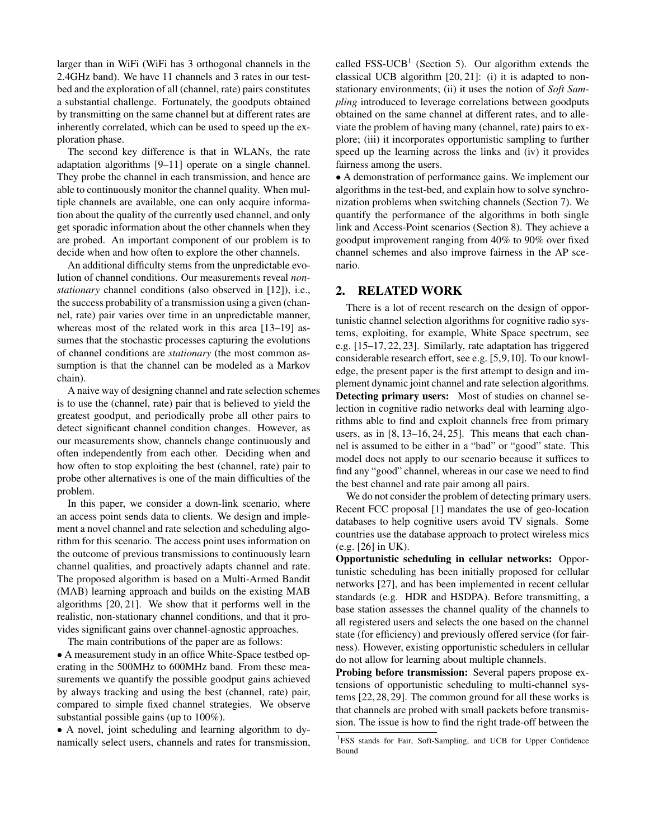larger than in WiFi (WiFi has 3 orthogonal channels in the 2.4GHz band). We have 11 channels and 3 rates in our testbed and the exploration of all (channel, rate) pairs constitutes a substantial challenge. Fortunately, the goodputs obtained by transmitting on the same channel but at different rates are inherently correlated, which can be used to speed up the exploration phase.

The second key difference is that in WLANs, the rate adaptation algorithms [9–11] operate on a single channel. They probe the channel in each transmission, and hence are able to continuously monitor the channel quality. When multiple channels are available, one can only acquire information about the quality of the currently used channel, and only get sporadic information about the other channels when they are probed. An important component of our problem is to decide when and how often to explore the other channels.

An additional difficulty stems from the unpredictable evolution of channel conditions. Our measurements reveal *nonstationary* channel conditions (also observed in [12]), i.e., the success probability of a transmission using a given (channel, rate) pair varies over time in an unpredictable manner, whereas most of the related work in this area [13–19] assumes that the stochastic processes capturing the evolutions of channel conditions are *stationary* (the most common assumption is that the channel can be modeled as a Markov chain).

A naive way of designing channel and rate selection schemes is to use the (channel, rate) pair that is believed to yield the greatest goodput, and periodically probe all other pairs to detect significant channel condition changes. However, as our measurements show, channels change continuously and often independently from each other. Deciding when and how often to stop exploiting the best (channel, rate) pair to probe other alternatives is one of the main difficulties of the problem.

In this paper, we consider a down-link scenario, where an access point sends data to clients. We design and implement a novel channel and rate selection and scheduling algorithm for this scenario. The access point uses information on the outcome of previous transmissions to continuously learn channel qualities, and proactively adapts channel and rate. The proposed algorithm is based on a Multi-Armed Bandit (MAB) learning approach and builds on the existing MAB algorithms [20, 21]. We show that it performs well in the realistic, non-stationary channel conditions, and that it provides significant gains over channel-agnostic approaches.

The main contributions of the paper are as follows:

• A measurement study in an office White-Space testbed operating in the 500MHz to 600MHz band. From these measurements we quantify the possible goodput gains achieved by always tracking and using the best (channel, rate) pair, compared to simple fixed channel strategies. We observe substantial possible gains (up to 100%).

• A novel, joint scheduling and learning algorithm to dynamically select users, channels and rates for transmission,

called  $FSS-UCB<sup>1</sup>$  (Section 5). Our algorithm extends the classical UCB algorithm [20, 21]: (i) it is adapted to nonstationary environments; (ii) it uses the notion of *Soft Sampling* introduced to leverage correlations between goodputs obtained on the same channel at different rates, and to alleviate the problem of having many (channel, rate) pairs to explore; (iii) it incorporates opportunistic sampling to further speed up the learning across the links and (iv) it provides fairness among the users.

• A demonstration of performance gains. We implement our algorithms in the test-bed, and explain how to solve synchronization problems when switching channels (Section 7). We quantify the performance of the algorithms in both single link and Access-Point scenarios (Section 8). They achieve a goodput improvement ranging from 40% to 90% over fixed channel schemes and also improve fairness in the AP scenario.

# 2. RELATED WORK

There is a lot of recent research on the design of opportunistic channel selection algorithms for cognitive radio systems, exploiting, for example, White Space spectrum, see e.g. [15–17, 22, 23]. Similarly, rate adaptation has triggered considerable research effort, see e.g. [5,9,10]. To our knowledge, the present paper is the first attempt to design and implement dynamic joint channel and rate selection algorithms. Detecting primary users: Most of studies on channel selection in cognitive radio networks deal with learning algorithms able to find and exploit channels free from primary users, as in [8, 13–16, 24, 25]. This means that each channel is assumed to be either in a "bad" or "good" state. This model does not apply to our scenario because it suffices to find any "good" channel, whereas in our case we need to find the best channel and rate pair among all pairs.

We do not consider the problem of detecting primary users. Recent FCC proposal [1] mandates the use of geo-location databases to help cognitive users avoid TV signals. Some countries use the database approach to protect wireless mics (e.g. [26] in UK).

Opportunistic scheduling in cellular networks: Opportunistic scheduling has been initially proposed for cellular networks [27], and has been implemented in recent cellular standards (e.g. HDR and HSDPA). Before transmitting, a base station assesses the channel quality of the channels to all registered users and selects the one based on the channel state (for efficiency) and previously offered service (for fairness). However, existing opportunistic schedulers in cellular do not allow for learning about multiple channels.

Probing before transmission: Several papers propose extensions of opportunistic scheduling to multi-channel systems [22, 28, 29]. The common ground for all these works is that channels are probed with small packets before transmission. The issue is how to find the right trade-off between the

<sup>&</sup>lt;sup>1</sup>FSS stands for Fair, Soft-Sampling, and UCB for Upper Confidence Bound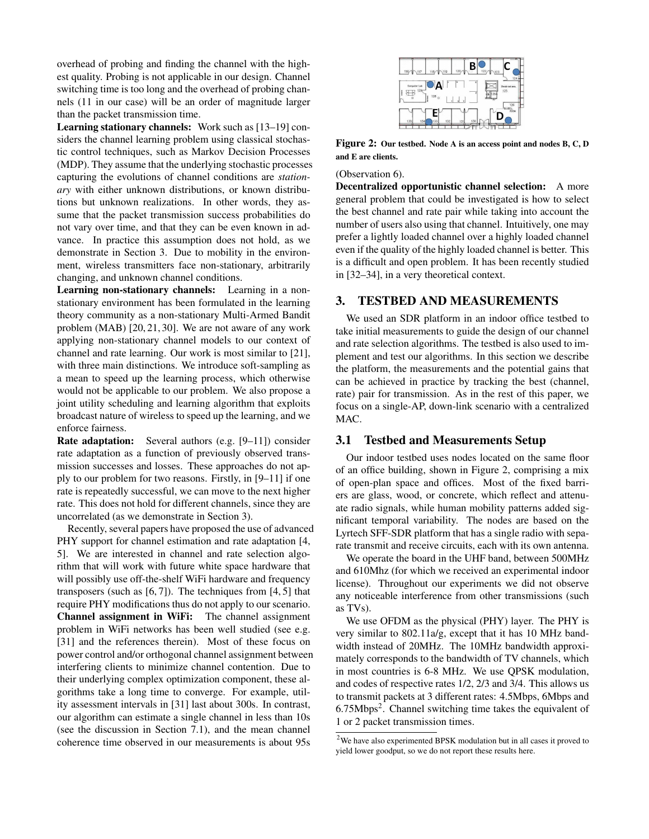overhead of probing and finding the channel with the highest quality. Probing is not applicable in our design. Channel switching time is too long and the overhead of probing channels (11 in our case) will be an order of magnitude larger than the packet transmission time.

Learning stationary channels: Work such as [13–19] considers the channel learning problem using classical stochastic control techniques, such as Markov Decision Processes (MDP). They assume that the underlying stochastic processes capturing the evolutions of channel conditions are *stationary* with either unknown distributions, or known distributions but unknown realizations. In other words, they assume that the packet transmission success probabilities do not vary over time, and that they can be even known in advance. In practice this assumption does not hold, as we demonstrate in Section 3. Due to mobility in the environment, wireless transmitters face non-stationary, arbitrarily changing, and unknown channel conditions.

Learning non-stationary channels: Learning in a nonstationary environment has been formulated in the learning theory community as a non-stationary Multi-Armed Bandit problem (MAB) [20, 21, 30]. We are not aware of any work applying non-stationary channel models to our context of channel and rate learning. Our work is most similar to [21], with three main distinctions. We introduce soft-sampling as a mean to speed up the learning process, which otherwise would not be applicable to our problem. We also propose a joint utility scheduling and learning algorithm that exploits broadcast nature of wireless to speed up the learning, and we enforce fairness.

Rate adaptation: Several authors (e.g. [9–11]) consider rate adaptation as a function of previously observed transmission successes and losses. These approaches do not apply to our problem for two reasons. Firstly, in [9–11] if one rate is repeatedly successful, we can move to the next higher rate. This does not hold for different channels, since they are uncorrelated (as we demonstrate in Section 3).

Recently, several papers have proposed the use of advanced PHY support for channel estimation and rate adaptation [4, 5]. We are interested in channel and rate selection algorithm that will work with future white space hardware that will possibly use off-the-shelf WiFi hardware and frequency transposers (such as  $[6, 7]$ ). The techniques from  $[4, 5]$  that require PHY modifications thus do not apply to our scenario. Channel assignment in WiFi: The channel assignment problem in WiFi networks has been well studied (see e.g. [31] and the references therein). Most of these focus on power control and/or orthogonal channel assignment between interfering clients to minimize channel contention. Due to their underlying complex optimization component, these algorithms take a long time to converge. For example, utility assessment intervals in [31] last about 300s. In contrast, our algorithm can estimate a single channel in less than 10s (see the discussion in Section 7.1), and the mean channel coherence time observed in our measurements is about 95s



Figure 2: Our testbed. Node A is an access point and nodes B, C, D and E are clients.

#### (Observation 6).

Decentralized opportunistic channel selection: A more general problem that could be investigated is how to select the best channel and rate pair while taking into account the number of users also using that channel. Intuitively, one may prefer a lightly loaded channel over a highly loaded channel even if the quality of the highly loaded channel is better. This is a difficult and open problem. It has been recently studied in [32–34], in a very theoretical context.

# 3. TESTBED AND MEASUREMENTS

We used an SDR platform in an indoor office testbed to take initial measurements to guide the design of our channel and rate selection algorithms. The testbed is also used to implement and test our algorithms. In this section we describe the platform, the measurements and the potential gains that can be achieved in practice by tracking the best (channel, rate) pair for transmission. As in the rest of this paper, we focus on a single-AP, down-link scenario with a centralized MAC.

### 3.1 Testbed and Measurements Setup

Our indoor testbed uses nodes located on the same floor of an office building, shown in Figure 2, comprising a mix of open-plan space and offices. Most of the fixed barriers are glass, wood, or concrete, which reflect and attenuate radio signals, while human mobility patterns added significant temporal variability. The nodes are based on the Lyrtech SFF-SDR platform that has a single radio with separate transmit and receive circuits, each with its own antenna.

We operate the board in the UHF band, between 500MHz and 610Mhz (for which we received an experimental indoor license). Throughout our experiments we did not observe any noticeable interference from other transmissions (such as TVs).

We use OFDM as the physical (PHY) layer. The PHY is very similar to 802.11a/g, except that it has 10 MHz bandwidth instead of 20MHz. The 10MHz bandwidth approximately corresponds to the bandwidth of TV channels, which in most countries is 6-8 MHz. We use QPSK modulation, and codes of respective rates 1/2, 2/3 and 3/4. This allows us to transmit packets at 3 different rates: 4.5Mbps, 6Mbps and 6.75Mbps<sup>2</sup>. Channel switching time takes the equivalent of 1 or 2 packet transmission times.

<sup>2</sup>We have also experimented BPSK modulation but in all cases it proved to yield lower goodput, so we do not report these results here.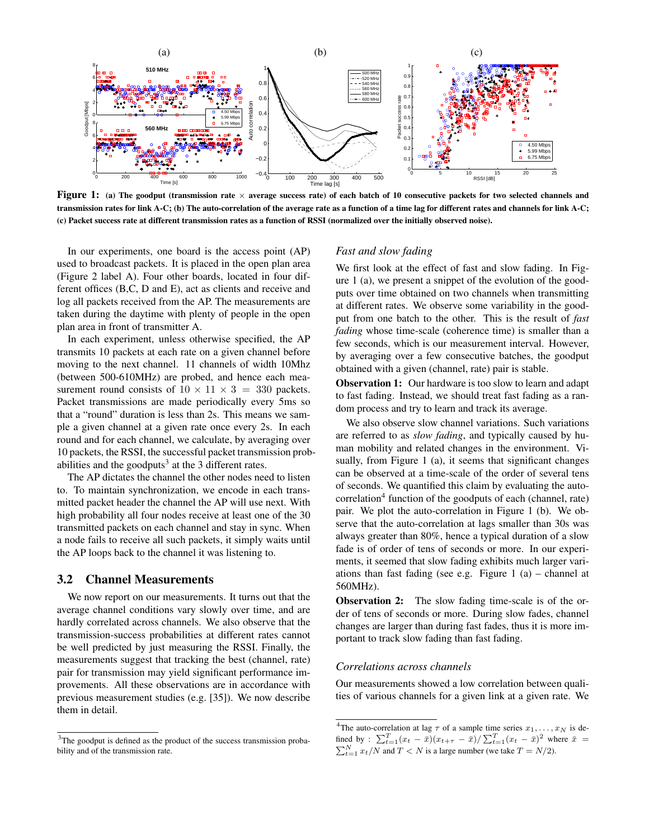

Figure 1: (a) The goodput (transmission rate  $\times$  average success rate) of each batch of 10 consecutive packets for two selected channels and transmission rates for link A-C; (b) The auto-correlation of the average rate as a function of a time lag for different rates and channels for link A-C; (c) Packet success rate at different transmission rates as a function of RSSI (normalized over the initially observed noise).

In our experiments, one board is the access point (AP) used to broadcast packets. It is placed in the open plan area (Figure 2 label A). Four other boards, located in four different offices (B,C, D and E), act as clients and receive and log all packets received from the AP. The measurements are taken during the daytime with plenty of people in the open plan area in front of transmitter A.

In each experiment, unless otherwise specified, the AP transmits 10 packets at each rate on a given channel before moving to the next channel. 11 channels of width 10Mhz (between 500-610MHz) are probed, and hence each measurement round consists of  $10 \times 11 \times 3 = 330$  packets. Packet transmissions are made periodically every 5ms so that a "round" duration is less than 2s. This means we sample a given channel at a given rate once every 2s. In each round and for each channel, we calculate, by averaging over 10 packets, the RSSI, the successful packet transmission probabilities and the goodputs<sup>3</sup> at the 3 different rates.

The AP dictates the channel the other nodes need to listen to. To maintain synchronization, we encode in each transmitted packet header the channel the AP will use next. With high probability all four nodes receive at least one of the 30 transmitted packets on each channel and stay in sync. When a node fails to receive all such packets, it simply waits until the AP loops back to the channel it was listening to.

#### 3.2 Channel Measurements

We now report on our measurements. It turns out that the average channel conditions vary slowly over time, and are hardly correlated across channels. We also observe that the transmission-success probabilities at different rates cannot be well predicted by just measuring the RSSI. Finally, the measurements suggest that tracking the best (channel, rate) pair for transmission may yield significant performance improvements. All these observations are in accordance with previous measurement studies (e.g. [35]). We now describe them in detail.

#### *Fast and slow fading*

We first look at the effect of fast and slow fading. In Figure 1 (a), we present a snippet of the evolution of the goodputs over time obtained on two channels when transmitting at different rates. We observe some variability in the goodput from one batch to the other. This is the result of *fast fading* whose time-scale (coherence time) is smaller than a few seconds, which is our measurement interval. However, by averaging over a few consecutive batches, the goodput obtained with a given (channel, rate) pair is stable.

Observation 1: Our hardware is too slow to learn and adapt to fast fading. Instead, we should treat fast fading as a random process and try to learn and track its average.

We also observe slow channel variations. Such variations are referred to as *slow fading*, and typically caused by human mobility and related changes in the environment. Visually, from Figure 1 (a), it seems that significant changes can be observed at a time-scale of the order of several tens of seconds. We quantified this claim by evaluating the autocorrelation<sup>4</sup> function of the goodputs of each (channel, rate) pair. We plot the auto-correlation in Figure 1 (b). We observe that the auto-correlation at lags smaller than 30s was always greater than 80%, hence a typical duration of a slow fade is of order of tens of seconds or more. In our experiments, it seemed that slow fading exhibits much larger variations than fast fading (see e.g. Figure 1 (a) – channel at 560MHz).

**Observation 2:** The slow fading time-scale is of the order of tens of seconds or more. During slow fades, channel changes are larger than during fast fades, thus it is more important to track slow fading than fast fading.

#### *Correlations across channels*

Our measurements showed a low correlation between qualities of various channels for a given link at a given rate. We

 $3$ The goodput is defined as the product of the success transmission probability and of the transmission rate.

<sup>&</sup>lt;sup>4</sup>The auto-correlation at lag  $\tau$  of a sample time series  $x_1, \ldots, x_N$  is defined by :  $\sum_{t=1}^{T} (x_t - \bar{x}) (x_{t+\tau} - \bar{x}) / \sum_{t=1}^{T} (x_t - \bar{x})^2$  where  $\bar{x}$  =  $\sum_{t=1}^{N} x_t/N$  and  $T < N$  is a large number (we take  $T = N/2$ ).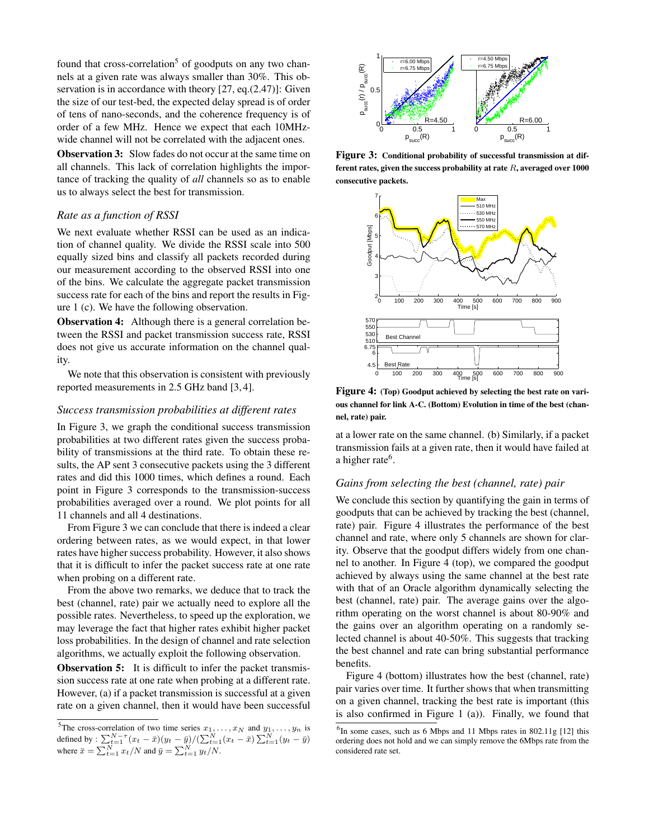found that cross-correlation<sup>5</sup> of goodputs on any two channels at a given rate was always smaller than 30%. This observation is in accordance with theory [27, eq.(2.47)]: Given the size of our test-bed, the expected delay spread is of order of tens of nano-seconds, and the coherence frequency is of order of a few MHz. Hence we expect that each 10MHzwide channel will not be correlated with the adjacent ones.

**Observation 3:** Slow fades do not occur at the same time on all channels. This lack of correlation highlights the importance of tracking the quality of *all* channels so as to enable us to always select the best for transmission.

# *Rate as a function of RSSI*

We next evaluate whether RSSI can be used as an indication of channel quality. We divide the RSSI scale into 500 equally sized bins and classify all packets recorded during our measurement according to the observed RSSI into one of the bins. We calculate the aggregate packet transmission success rate for each of the bins and report the results in Figure 1 (c). We have the following observation.

Observation 4: Although there is a general correlation between the RSSI and packet transmission success rate, RSSI does not give us accurate information on the channel quality.

We note that this observation is consistent with previously reported measurements in 2.5 GHz band [3, 4].

#### *Success transmission probabilities at different rates*

In Figure 3, we graph the conditional success transmission probabilities at two different rates given the success probability of transmissions at the third rate. To obtain these results, the AP sent 3 consecutive packets using the 3 different rates and did this 1000 times, which defines a round. Each point in Figure 3 corresponds to the transmission-success probabilities averaged over a round. We plot points for all 11 channels and all 4 destinations.

From Figure 3 we can conclude that there is indeed a clear ordering between rates, as we would expect, in that lower rates have higher success probability. However, it also shows that it is difficult to infer the packet success rate at one rate when probing on a different rate.

From the above two remarks, we deduce that to track the best (channel, rate) pair we actually need to explore all the possible rates. Nevertheless, to speed up the exploration, we may leverage the fact that higher rates exhibit higher packet loss probabilities. In the design of channel and rate selection algorithms, we actually exploit the following observation.

**Observation 5:** It is difficult to infer the packet transmission success rate at one rate when probing at a different rate. However, (a) if a packet transmission is successful at a given rate on a given channel, then it would have been successful



Figure 3: Conditional probability of successful transmission at different rates, given the success probability at rate  $R$ , averaged over 1000 consecutive packets.



Figure 4: (Top) Goodput achieved by selecting the best rate on various channel for link A-C. (Bottom) Evolution in time of the best (channel, rate) pair.

at a lower rate on the same channel. (b) Similarly, if a packet transmission fails at a given rate, then it would have failed at a higher rate<sup>6</sup>.

#### *Gains from selecting the best (channel, rate) pair*

We conclude this section by quantifying the gain in terms of goodputs that can be achieved by tracking the best (channel, rate) pair. Figure 4 illustrates the performance of the best channel and rate, where only 5 channels are shown for clarity. Observe that the goodput differs widely from one channel to another. In Figure 4 (top), we compared the goodput achieved by always using the same channel at the best rate with that of an Oracle algorithm dynamically selecting the best (channel, rate) pair. The average gains over the algorithm operating on the worst channel is about 80-90% and the gains over an algorithm operating on a randomly selected channel is about 40-50%. This suggests that tracking the best channel and rate can bring substantial performance benefits.

Figure 4 (bottom) illustrates how the best (channel, rate) pair varies over time. It further shows that when transmitting on a given channel, tracking the best rate is important (this is also confirmed in Figure 1 (a)). Finally, we found that

<sup>&</sup>lt;sup>5</sup>The cross-correlation of two time series  $x_1, \ldots, x_N$  and  $y_1, \ldots, y_n$  is defined by :  $\sum_{t=1}^{N-\tau} (x_t - \bar{x})(y_t - \bar{y}) / (\sum_{t=1}^{N} (x_t - \bar{x}) \sum_{t=1}^{N} (y_t - \bar{y})$ where  $\bar{x} = \sum_{t=1}^{N} x_t / N$  and  $\bar{y} = \sum_{t=1}^{N} y_t / N$ .

 ${}^{6}$ In some cases, such as 6 Mbps and 11 Mbps rates in 802.11g [12] this ordering does not hold and we can simply remove the 6Mbps rate from the considered rate set.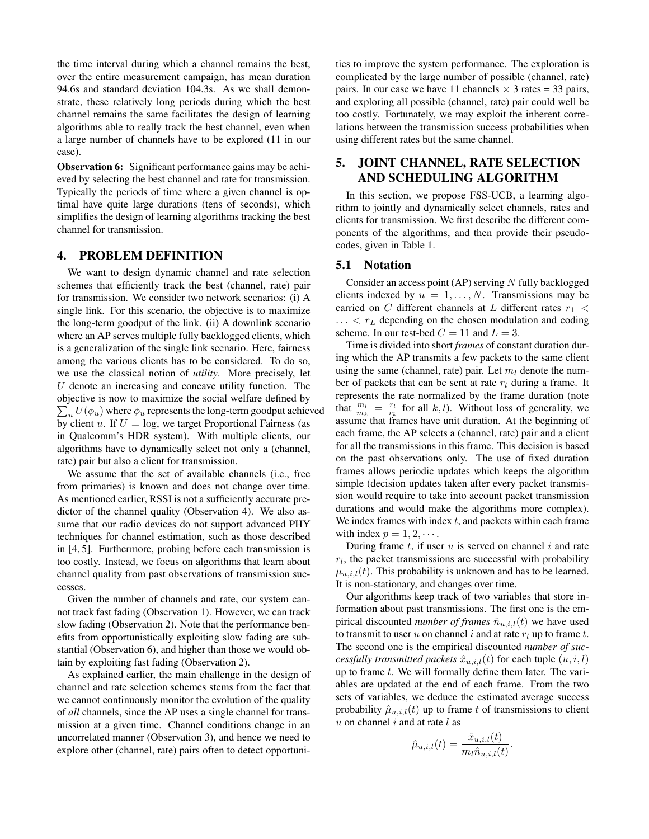the time interval during which a channel remains the best, over the entire measurement campaign, has mean duration 94.6s and standard deviation 104.3s. As we shall demonstrate, these relatively long periods during which the best channel remains the same facilitates the design of learning algorithms able to really track the best channel, even when a large number of channels have to be explored (11 in our case).

**Observation 6:** Significant performance gains may be achieved by selecting the best channel and rate for transmission. Typically the periods of time where a given channel is optimal have quite large durations (tens of seconds), which simplifies the design of learning algorithms tracking the best channel for transmission.

# 4. PROBLEM DEFINITION

We want to design dynamic channel and rate selection schemes that efficiently track the best (channel, rate) pair for transmission. We consider two network scenarios: (i) A single link. For this scenario, the objective is to maximize the long-term goodput of the link. (ii) A downlink scenario where an AP serves multiple fully backlogged clients, which is a generalization of the single link scenario. Here, fairness among the various clients has to be considered. To do so, we use the classical notion of *utility*. More precisely, let  $U$  denote an increasing and concave utility function. The objective is now to maximize the social welfare defined by  $\sum_u U(\phi_u)$  where  $\phi_u$  represents the long-term goodput achieved by client u. If  $U = \log$ , we target Proportional Fairness (as in Qualcomm's HDR system). With multiple clients, our algorithms have to dynamically select not only a (channel, rate) pair but also a client for transmission.

We assume that the set of available channels (i.e., free from primaries) is known and does not change over time. As mentioned earlier, RSSI is not a sufficiently accurate predictor of the channel quality (Observation 4). We also assume that our radio devices do not support advanced PHY techniques for channel estimation, such as those described in [4, 5]. Furthermore, probing before each transmission is too costly. Instead, we focus on algorithms that learn about channel quality from past observations of transmission successes.

Given the number of channels and rate, our system cannot track fast fading (Observation 1). However, we can track slow fading (Observation 2). Note that the performance benefits from opportunistically exploiting slow fading are substantial (Observation 6), and higher than those we would obtain by exploiting fast fading (Observation 2).

As explained earlier, the main challenge in the design of channel and rate selection schemes stems from the fact that we cannot continuously monitor the evolution of the quality of *all* channels, since the AP uses a single channel for transmission at a given time. Channel conditions change in an uncorrelated manner (Observation 3), and hence we need to explore other (channel, rate) pairs often to detect opportunities to improve the system performance. The exploration is complicated by the large number of possible (channel, rate) pairs. In our case we have 11 channels  $\times$  3 rates = 33 pairs, and exploring all possible (channel, rate) pair could well be too costly. Fortunately, we may exploit the inherent correlations between the transmission success probabilities when using different rates but the same channel.

# 5. JOINT CHANNEL, RATE SELECTION AND SCHEDULING ALGORITHM

In this section, we propose FSS-UCB, a learning algorithm to jointly and dynamically select channels, rates and clients for transmission. We first describe the different components of the algorithms, and then provide their pseudocodes, given in Table 1.

# 5.1 Notation

Consider an access point  $(AP)$  serving N fully backlogged clients indexed by  $u = 1, \ldots, N$ . Transmissions may be carried on C different channels at L different rates  $r_1$  <  $\ldots$  <  $r_L$  depending on the chosen modulation and coding scheme. In our test-bed  $C = 11$  and  $L = 3$ .

Time is divided into short *frames* of constant duration during which the AP transmits a few packets to the same client using the same (channel, rate) pair. Let  $m_l$  denote the number of packets that can be sent at rate  $r_l$  during a frame. It represents the rate normalized by the frame duration (note that  $\frac{m_l}{m_k} = \frac{r_l}{r_k}$  for all k, l). Without loss of generality, we assume that frames have unit duration. At the beginning of each frame, the AP selects a (channel, rate) pair and a client for all the transmissions in this frame. This decision is based on the past observations only. The use of fixed duration frames allows periodic updates which keeps the algorithm simple (decision updates taken after every packet transmission would require to take into account packet transmission durations and would make the algorithms more complex). We index frames with index  $t$ , and packets within each frame with index  $p = 1, 2, \cdots$ .

During frame  $t$ , if user  $u$  is served on channel  $i$  and rate  $r_l$ , the packet transmissions are successful with probability  $\mu_{u,i,l}(t)$ . This probability is unknown and has to be learned. It is non-stationary, and changes over time.

Our algorithms keep track of two variables that store information about past transmissions. The first one is the empirical discounted *number of frames*  $\hat{n}_{u,i,l}(t)$  we have used to transmit to user u on channel i and at rate  $r_l$  up to frame t. The second one is the empirical discounted *number of successfully transmitted packets*  $\hat{x}_{u,i,l}(t)$  for each tuple  $(u, i, l)$ up to frame  $t$ . We will formally define them later. The variables are updated at the end of each frame. From the two sets of variables, we deduce the estimated average success probability  $\hat{\mu}_{u,i,l}(t)$  up to frame t of transmissions to client  $u$  on channel  $i$  and at rate  $l$  as

$$
\hat{\mu}_{u,i,l}(t) = \frac{\hat{x}_{u,i,l}(t)}{m_l \hat{n}_{u,i,l}(t)}.
$$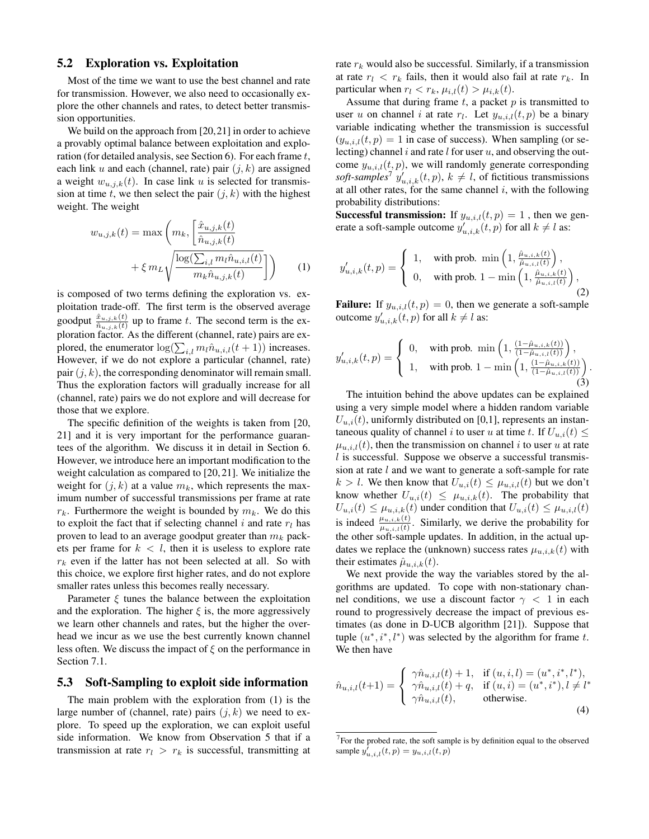# 5.2 Exploration vs. Exploitation

Most of the time we want to use the best channel and rate for transmission. However, we also need to occasionally explore the other channels and rates, to detect better transmission opportunities.

We build on the approach from [20,21] in order to achieve a provably optimal balance between exploitation and exploration (for detailed analysis, see Section 6). For each frame t, each link u and each (channel, rate) pair  $(j, k)$  are assigned a weight  $w_{u,i,k}(t)$ . In case link u is selected for transmission at time t, we then select the pair  $(j, k)$  with the highest weight. The weight

$$
w_{u,j,k}(t) = \max\left(m_k, \left[\frac{\hat{x}_{u,j,k}(t)}{\hat{n}_{u,j,k}(t)}\right] + \xi m_L \sqrt{\frac{\log(\sum_{i,l} m_l \hat{n}_{u,i,l}(t)}{m_k \hat{n}_{u,j,k}(t)}}\right)\right)
$$
(1)

is composed of two terms defining the exploration vs. exploitation trade-off. The first term is the observed average goodput  $\frac{\hat{x}_{u,j,k}(t)}{\hat{n}_{u,j,k}(t)}$  up to frame t. The second term is the exploration factor. As the different (channel, rate) pairs are explored, the enumerator  $\log(\sum_{i,l} m_l \hat{n}_{u,i,l}(t+1))$  increases. However, if we do not explore a particular (channel, rate) pair  $(j, k)$ , the corresponding denominator will remain small. Thus the exploration factors will gradually increase for all (channel, rate) pairs we do not explore and will decrease for those that we explore.

The specific definition of the weights is taken from [20, 21] and it is very important for the performance guarantees of the algorithm. We discuss it in detail in Section 6. However, we introduce here an important modification to the weight calculation as compared to [20, 21]. We initialize the weight for  $(j, k)$  at a value  $m_k$ , which represents the maximum number of successful transmissions per frame at rate  $r_k$ . Furthermore the weight is bounded by  $m_k$ . We do this to exploit the fact that if selecting channel  $i$  and rate  $r_l$  has proven to lead to an average goodput greater than  $m_k$  packets per frame for  $k < l$ , then it is useless to explore rate  $r_k$  even if the latter has not been selected at all. So with this choice, we explore first higher rates, and do not explore smaller rates unless this becomes really necessary.

Parameter  $\xi$  tunes the balance between the exploitation and the exploration. The higher  $\xi$  is, the more aggressively we learn other channels and rates, but the higher the overhead we incur as we use the best currently known channel less often. We discuss the impact of  $\xi$  on the performance in Section 7.1.

#### 5.3 Soft-Sampling to exploit side information

The main problem with the exploration from (1) is the large number of (channel, rate) pairs  $(i, k)$  we need to explore. To speed up the exploration, we can exploit useful side information. We know from Observation 5 that if a transmission at rate  $r_l > r_k$  is successful, transmitting at rate  $r_k$  would also be successful. Similarly, if a transmission at rate  $r_l \, \langle \, r_k \, \text{fails}, \, \text{then it would also fail at rate } r_k$ . In particular when  $r_l < r_k$ ,  $\mu_{i,l}(t) > \mu_{i,k}(t)$ .

Assume that during frame  $t$ , a packet  $p$  is transmitted to user u on channel i at rate  $r_l$ . Let  $y_{u,i,l}(t, p)$  be a binary variable indicating whether the transmission is successful  $(y_{u,i,l}(t, p) = 1$  in case of success). When sampling (or selecting) channel i and rate  $l$  for user  $u$ , and observing the outcome  $y_{u,i,l}(t, p)$ , we will randomly generate corresponding soft-samples<sup>7</sup>  $y'_{u,i,k}(t, p)$ ,  $k \neq l$ , of fictitious transmissions at all other rates, for the same channel  $i$ , with the following probability distributions:

**Successful transmission:** If  $y_{u,i,l}(t, p) = 1$ , then we generate a soft-sample outcome  $y'_{u,i,k}(t, p)$  for all  $k \neq l$  as:

$$
y'_{u,i,k}(t,p) = \begin{cases} 1, & \text{with prob. min}\left(1, \frac{\hat{\mu}_{u,i,k}(t)}{\hat{\mu}_{u,i,l}(t)}\right), \\ 0, & \text{with prob. } 1 - \min\left(1, \frac{\hat{\mu}_{u,i,k}(t)}{\hat{\mu}_{u,i,l}(t)}\right), \end{cases}
$$
(2)

**Failure:** If  $y_{u,i,l}(t, p) = 0$ , then we generate a soft-sample outcome  $y'_{u,i,k}(t, p)$  for all  $k \neq l$  as:

$$
y'_{u,i,k}(t,p) = \begin{cases} 0, & \text{with prob. min}\left(1, \frac{\left(1-\hat{\mu}_{u,i,k}(t)\right)}{\left(1-\hat{\mu}_{u,i,l}(t)\right)}\right), \\ 1, & \text{with prob. } 1 - \min\left(1, \frac{\left(1-\hat{\mu}_{u,i,k}(t)\right)}{\left(1-\hat{\mu}_{u,i,l}(t)\right)}\right). \end{cases}
$$
(3)

The intuition behind the above updates can be explained using a very simple model where a hidden random variable  $U_{u,i}(t)$ , uniformly distributed on [0,1], represents an instantaneous quality of channel i to user u at time t. If  $U_{u,i}(t) \leq$  $\mu_{u,i,l}(t)$ , then the transmission on channel i to user u at rate  $l$  is successful. Suppose we observe a successful transmission at rate  $l$  and we want to generate a soft-sample for rate  $k > l$ . We then know that  $U_{u,i}(t) \leq \mu_{u,i}(t)$  but we don't know whether  $U_{u,i}(t) \leq \mu_{u,i,k}(t)$ . The probability that  $U_{u,i}(t) \leq \mu_{u,i,k}(t)$  under condition that  $U_{u,i}(t) \leq \mu_{u,i,l}(t)$ is indeed  $\frac{\mu_{u,i,k}(t)}{\mu_{u,i,l}(t)}$ . Similarly, we derive the probability for the other soft-sample updates. In addition, in the actual updates we replace the (unknown) success rates  $\mu_{u,i,k}(t)$  with their estimates  $\hat{\mu}_{u,i,k}(t)$ .

We next provide the way the variables stored by the algorithms are updated. To cope with non-stationary channel conditions, we use a discount factor  $\gamma$  < 1 in each round to progressively decrease the impact of previous estimates (as done in D-UCB algorithm [21]). Suppose that tuple  $(u^*, i^*, l^*)$  was selected by the algorithm for frame t. We then have

$$
\hat{n}_{u,i,l}(t+1) = \begin{cases}\n\gamma \hat{n}_{u,i,l}(t) + 1, & \text{if } (u,i,l) = (u^*, i^*, l^*), \\
\gamma \hat{n}_{u,i,l}(t) + q, & \text{if } (u,i) = (u^*, i^*), l \neq l^* \\
\gamma \hat{n}_{u,i,l}(t), & \text{otherwise.} \n\end{cases}
$$
\n(4)

 $7$  For the probed rate, the soft sample is by definition equal to the observed sample  $y_{u,i,l}^{j}(t, p) = y_{u,i,l}(t, p)$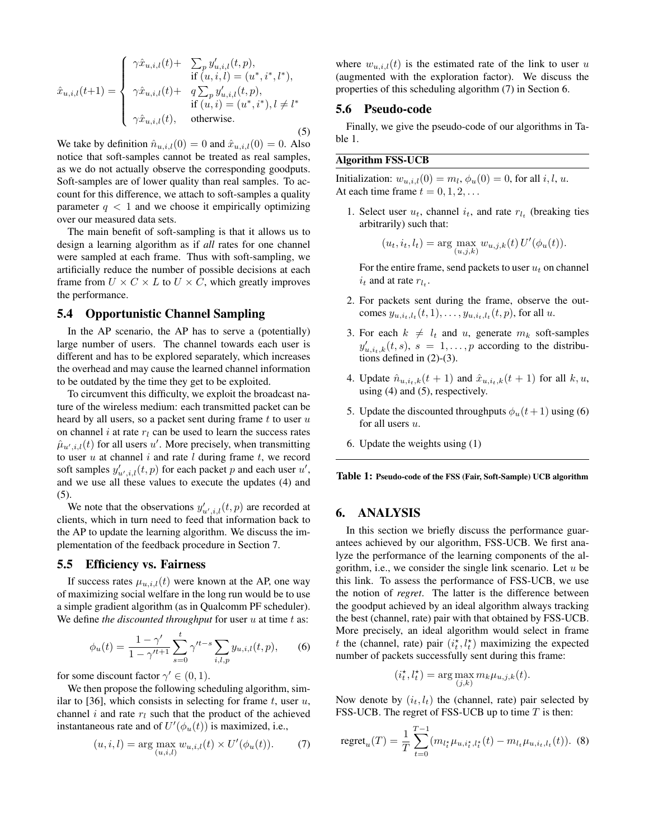$$
\hat{x}_{u,i,l}(t+1) = \begin{cases}\n\gamma \hat{x}_{u,i,l}(t) + \sum_{j} y'_{u,i,l}(t, p), \\
\text{if } (u, i, l) = (u^*, i^*, l^*), \\
\gamma \hat{x}_{u,i,l}(t) + q \sum_{j} y'_{u,i,l}(t, p), \\
\text{if } (u, i) = (u^*, i^*), l \neq l^* \\
\gamma \hat{x}_{u,i,l}(t), \quad \text{otherwise.} \n\end{cases}
$$
\n(5)

We take by definition  $\hat{n}_{u,i,l}(0) = 0$  and  $\hat{x}_{u,i,l}(0) = 0$ . Also notice that soft-samples cannot be treated as real samples, as we do not actually observe the corresponding goodputs. Soft-samples are of lower quality than real samples. To account for this difference, we attach to soft-samples a quality parameter  $q < 1$  and we choose it empirically optimizing over our measured data sets.

The main benefit of soft-sampling is that it allows us to design a learning algorithm as if *all* rates for one channel were sampled at each frame. Thus with soft-sampling, we artificially reduce the number of possible decisions at each frame from  $U \times C \times L$  to  $U \times C$ , which greatly improves the performance.

#### 5.4 Opportunistic Channel Sampling

In the AP scenario, the AP has to serve a (potentially) large number of users. The channel towards each user is different and has to be explored separately, which increases the overhead and may cause the learned channel information to be outdated by the time they get to be exploited.

To circumvent this difficulty, we exploit the broadcast nature of the wireless medium: each transmitted packet can be heard by all users, so a packet sent during frame  $t$  to user  $u$ on channel i at rate  $r_l$  can be used to learn the success rates  $\hat{\mu}_{u',i,l}(t)$  for all users u'. More precisely, when transmitting to user  $u$  at channel  $i$  and rate  $l$  during frame  $t$ , we record soft samples  $y'_{u',i,l}(t, p)$  for each packet p and each user  $u'$ , and we use all these values to execute the updates (4) and (5).

We note that the observations  $y'_{u',i,l}(t, p)$  are recorded at clients, which in turn need to feed that information back to the AP to update the learning algorithm. We discuss the implementation of the feedback procedure in Section 7.

#### 5.5 Efficiency vs. Fairness

If success rates  $\mu_{u,i,l}(t)$  were known at the AP, one way of maximizing social welfare in the long run would be to use a simple gradient algorithm (as in Qualcomm PF scheduler). We define *the discounted throughput* for user u at time t as:

$$
\phi_u(t) = \frac{1 - \gamma'}{1 - \gamma'^{t+1}} \sum_{s=0}^t \gamma'^{t-s} \sum_{i,l,p} y_{u,i,l}(t,p), \qquad (6)
$$

for some discount factor  $\gamma' \in (0, 1)$ .

We then propose the following scheduling algorithm, similar to [36], which consists in selecting for frame  $t$ , user  $u$ , channel i and rate  $r_l$  such that the product of the achieved instantaneous rate and of  $U'(\phi_u(t))$  is maximized, i.e.,

$$
(u, i, l) = \arg\max_{(u, i, l)} w_{u, i, l}(t) \times U'(\phi_u(t)).
$$
 (7)

where  $w_{u,i,l}(t)$  is the estimated rate of the link to user u (augmented with the exploration factor). We discuss the properties of this scheduling algorithm (7) in Section 6.

#### 5.6 Pseudo-code

Finally, we give the pseudo-code of our algorithms in Table 1.

#### Algorithm FSS-UCB

Initialization:  $w_{u,i,l}(0) = m_l, \phi_u(0) = 0$ , for all i, l, u. At each time frame  $t = 0, 1, 2, \ldots$ 

1. Select user  $u_t$ , channel  $i_t$ , and rate  $r_{l_t}$  (breaking ties arbitrarily) such that:

$$
(u_t, i_t, l_t) = \arg \max_{(u,j,k)} w_{u,j,k}(t) U'(\phi_u(t)).
$$

For the entire frame, send packets to user  $u_t$  on channel  $i_t$  and at rate  $r_{l_t}$ .

- 2. For packets sent during the frame, observe the outcomes  $y_{u,i_t,l_t}(t,1), \ldots, y_{u,i_t,l_t}(t,p)$ , for all  $u$ .
- 3. For each  $k \neq l_t$  and u, generate  $m_k$  soft-samples  $y'_{u,i_t,k}(t,s)$ ,  $s = 1,...,p$  according to the distributions defined in (2)-(3).
- 4. Update  $\hat{n}_{u,i_t,k}(t+1)$  and  $\hat{x}_{u,i_t,k}(t+1)$  for all  $k, u$ , using (4) and (5), respectively.
- 5. Update the discounted throughputs  $\phi_u(t+1)$  using (6) for all users  $u$ .
- 6. Update the weights using (1)

Table 1: Pseudo-code of the FSS (Fair, Soft-Sample) UCB algorithm

#### 6. ANALYSIS

In this section we briefly discuss the performance guarantees achieved by our algorithm, FSS-UCB. We first analyze the performance of the learning components of the algorithm, i.e., we consider the single link scenario. Let  $u$  be this link. To assess the performance of FSS-UCB, we use the notion of *regret*. The latter is the difference between the goodput achieved by an ideal algorithm always tracking the best (channel, rate) pair with that obtained by FSS-UCB. More precisely, an ideal algorithm would select in frame t the (channel, rate) pair  $(i_t^*, l_t^*)$  maximizing the expected number of packets successfully sent during this frame:

$$
(i_t^*, l_t^*) = \arg\max_{(j,k)} m_k \mu_{u,j,k}(t).
$$

Now denote by  $(i_t, l_t)$  the (channel, rate) pair selected by FSS-UCB. The regret of FSS-UCB up to time  $T$  is then:

regret<sub>u</sub>(T) = 
$$
\frac{1}{T} \sum_{t=0}^{T-1} (m_{l_t^*} \mu_{u,i_t^*,l_t^*}(t) - m_{l_t} \mu_{u,i_t,l_t}(t))
$$
. (8)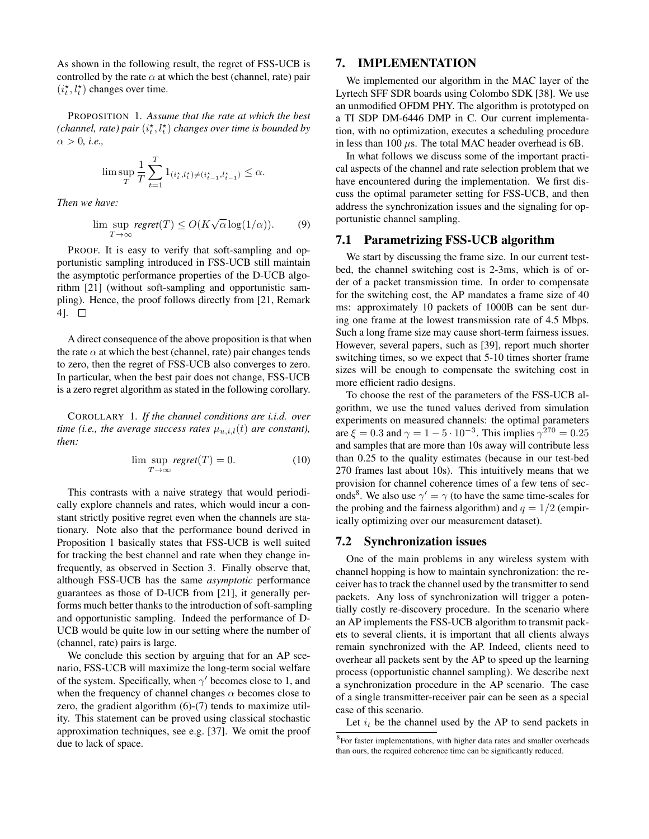As shown in the following result, the regret of FSS-UCB is controlled by the rate  $\alpha$  at which the best (channel, rate) pair  $(i_t^{\star},l_t^{\star})$  changes over time.

PROPOSITION 1. *Assume that the rate at which the best* (channel, rate) pair  $(i_t^{\star},l_t^{\star})$  changes over time is bounded by  $\alpha > 0$ , *i.e.*,

$$
\lim\sup_{T}\frac{1}{T}\sum_{t=1}^{T}\mathbf{1}_{(i_{t}^{\star},l_{t}^{\star})\neq(i_{t-1}^{\star},l_{t-1}^{\star})}\leq\alpha.
$$

*Then we have:*

$$
\limsup_{T \to \infty} \text{regret}(T) \le O(K\sqrt{\alpha} \log(1/\alpha)). \tag{9}
$$

PROOF. It is easy to verify that soft-sampling and opportunistic sampling introduced in FSS-UCB still maintain the asymptotic performance properties of the D-UCB algorithm [21] (without soft-sampling and opportunistic sampling). Hence, the proof follows directly from [21, Remark 4].  $\square$ 

A direct consequence of the above proposition is that when the rate  $\alpha$  at which the best (channel, rate) pair changes tends to zero, then the regret of FSS-UCB also converges to zero. In particular, when the best pair does not change, FSS-UCB is a zero regret algorithm as stated in the following corollary.

COROLLARY 1. *If the channel conditions are i.i.d. over time (i.e., the average success rates*  $\mu_{u,i,l}(t)$  *are constant), then:*

$$
\limsup_{T \to \infty} \text{regret}(T) = 0. \tag{10}
$$

This contrasts with a naive strategy that would periodically explore channels and rates, which would incur a constant strictly positive regret even when the channels are stationary. Note also that the performance bound derived in Proposition 1 basically states that FSS-UCB is well suited for tracking the best channel and rate when they change infrequently, as observed in Section 3. Finally observe that, although FSS-UCB has the same *asymptotic* performance guarantees as those of D-UCB from [21], it generally performs much better thanks to the introduction of soft-sampling and opportunistic sampling. Indeed the performance of D-UCB would be quite low in our setting where the number of (channel, rate) pairs is large.

We conclude this section by arguing that for an AP scenario, FSS-UCB will maximize the long-term social welfare of the system. Specifically, when  $\gamma'$  becomes close to 1, and when the frequency of channel changes  $\alpha$  becomes close to zero, the gradient algorithm (6)-(7) tends to maximize utility. This statement can be proved using classical stochastic approximation techniques, see e.g. [37]. We omit the proof due to lack of space.

### 7. IMPLEMENTATION

We implemented our algorithm in the MAC layer of the Lyrtech SFF SDR boards using Colombo SDK [38]. We use an unmodified OFDM PHY. The algorithm is prototyped on a TI SDP DM-6446 DMP in C. Our current implementation, with no optimization, executes a scheduling procedure in less than 100  $\mu$ s. The total MAC header overhead is 6B.

In what follows we discuss some of the important practical aspects of the channel and rate selection problem that we have encountered during the implementation. We first discuss the optimal parameter setting for FSS-UCB, and then address the synchronization issues and the signaling for opportunistic channel sampling.

#### 7.1 Parametrizing FSS-UCB algorithm

We start by discussing the frame size. In our current testbed, the channel switching cost is 2-3ms, which is of order of a packet transmission time. In order to compensate for the switching cost, the AP mandates a frame size of 40 ms: approximately 10 packets of 1000B can be sent during one frame at the lowest transmission rate of 4.5 Mbps. Such a long frame size may cause short-term fairness issues. However, several papers, such as [39], report much shorter switching times, so we expect that 5-10 times shorter frame sizes will be enough to compensate the switching cost in more efficient radio designs.

To choose the rest of the parameters of the FSS-UCB algorithm, we use the tuned values derived from simulation experiments on measured channels: the optimal parameters are  $\xi = 0.3$  and  $\gamma = 1 - 5 \cdot 10^{-3}$ . This implies  $\gamma^{270} = 0.25$ and samples that are more than 10s away will contribute less than 0.25 to the quality estimates (because in our test-bed 270 frames last about 10s). This intuitively means that we provision for channel coherence times of a few tens of seconds<sup>8</sup>. We also use  $\gamma' = \gamma$  (to have the same time-scales for the probing and the fairness algorithm) and  $q = 1/2$  (empirically optimizing over our measurement dataset).

#### 7.2 Synchronization issues

One of the main problems in any wireless system with channel hopping is how to maintain synchronization: the receiver has to track the channel used by the transmitter to send packets. Any loss of synchronization will trigger a potentially costly re-discovery procedure. In the scenario where an AP implements the FSS-UCB algorithm to transmit packets to several clients, it is important that all clients always remain synchronized with the AP. Indeed, clients need to overhear all packets sent by the AP to speed up the learning process (opportunistic channel sampling). We describe next a synchronization procedure in the AP scenario. The case of a single transmitter-receiver pair can be seen as a special case of this scenario.

Let  $i_t$  be the channel used by the AP to send packets in

<sup>&</sup>lt;sup>8</sup>For faster implementations, with higher data rates and smaller overheads than ours, the required coherence time can be significantly reduced.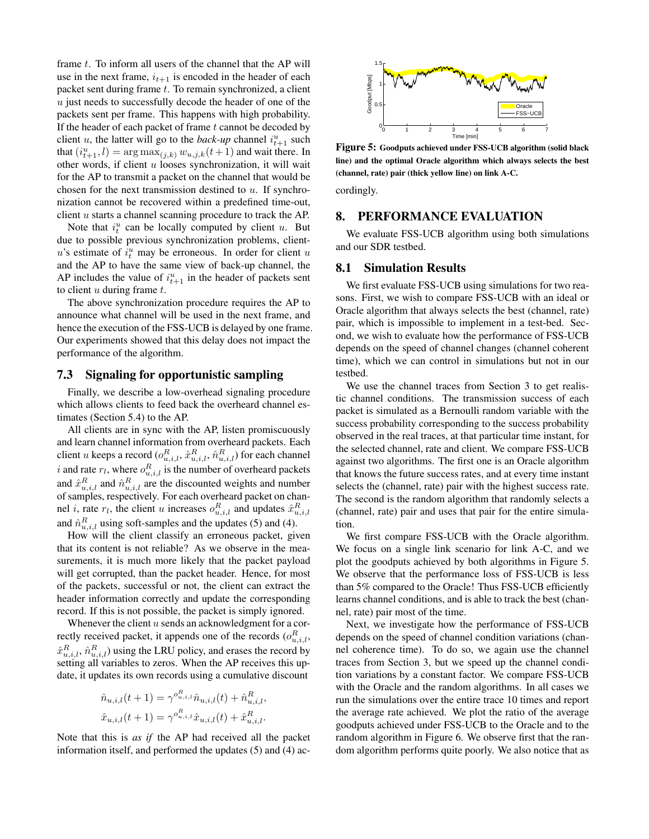frame  $t$ . To inform all users of the channel that the AP will use in the next frame,  $i_{t+1}$  is encoded in the header of each packet sent during frame  $t$ . To remain synchronized, a client  $u$  just needs to successfully decode the header of one of the packets sent per frame. This happens with high probability. If the header of each packet of frame  $t$  cannot be decoded by client *u*, the latter will go to the *back-up* channel  $i_{t+1}^u$  such that  $(i_{t+1}^u, l) = \arg \max_{(j,k)} w_{u,j,k}(t+1)$  and wait there. In other words, if client  $u$  looses synchronization, it will wait for the AP to transmit a packet on the channel that would be chosen for the next transmission destined to  $u$ . If synchronization cannot be recovered within a predefined time-out, client u starts a channel scanning procedure to track the AP.

Note that  $i_t^u$  can be locally computed by client u. But due to possible previous synchronization problems, client $u$ 's estimate of  $i_t^u$  may be erroneous. In order for client u and the AP to have the same view of back-up channel, the AP includes the value of  $i_{t+1}^u$  in the header of packets sent to client  $u$  during frame  $t$ .

The above synchronization procedure requires the AP to announce what channel will be used in the next frame, and hence the execution of the FSS-UCB is delayed by one frame. Our experiments showed that this delay does not impact the performance of the algorithm.

#### 7.3 Signaling for opportunistic sampling

Finally, we describe a low-overhead signaling procedure which allows clients to feed back the overheard channel estimates (Section 5.4) to the AP.

All clients are in sync with the AP, listen promiscuously and learn channel information from overheard packets. Each client  $u$  keeps a record  $(o_{u,i,l}^R, \hat{x}_{u,i,l}^R, \hat{n}_{u,i,l}^R)$  for each channel i and rate  $r_l$ , where  $o_{u,i,l}^R$  is the number of overheard packets and  $\hat{x}_{u,i,l}^R$  and  $\hat{n}_{u,i,l}^R$  are the discounted weights and number of samples, respectively. For each overheard packet on channel *i*, rate  $r_l$ , the client *u* increases  $o_{u,i,l}^R$  and updates  $\hat{x}_{u,i,l}^R$ and  $\hat{n}_{u,i,l}^R$  using soft-samples and the updates (5) and (4).

How will the client classify an erroneous packet, given that its content is not reliable? As we observe in the measurements, it is much more likely that the packet payload will get corrupted, than the packet header. Hence, for most of the packets, successful or not, the client can extract the header information correctly and update the corresponding record. If this is not possible, the packet is simply ignored.

Whenever the client  $u$  sends an acknowledgment for a correctly received packet, it appends one of the records  $(o_{u,i,l}^R, \ldots, o_{u,j,l}^R)$  $\hat{x}_{u,i,l}^R$ ,  $\hat{n}_{u,i,l}^R$  ) using the LRU policy, and erases the record by setting all variables to zeros. When the AP receives this update, it updates its own records using a cumulative discount

$$
\hat{n}_{u,i,l}(t+1) = \gamma^{o_{u,i,l}^R} \hat{n}_{u,i,l}(t) + \hat{n}_{u,i,l}^R,
$$
  

$$
\hat{x}_{u,i,l}(t+1) = \gamma^{o_{u,i,l}^R} \hat{x}_{u,i,l}(t) + \hat{x}_{u,i,l}^R.
$$

Note that this is *as if* the AP had received all the packet information itself, and performed the updates (5) and (4) ac-



Figure 5: Goodputs achieved under FSS-UCB algorithm (solid black line) and the optimal Oracle algorithm which always selects the best (channel, rate) pair (thick yellow line) on link A-C.

cordingly.

# 8. PERFORMANCE EVALUATION

We evaluate FSS-UCB algorithm using both simulations and our SDR testbed.

### 8.1 Simulation Results

We first evaluate FSS-UCB using simulations for two reasons. First, we wish to compare FSS-UCB with an ideal or Oracle algorithm that always selects the best (channel, rate) pair, which is impossible to implement in a test-bed. Second, we wish to evaluate how the performance of FSS-UCB depends on the speed of channel changes (channel coherent time), which we can control in simulations but not in our testbed.

We use the channel traces from Section 3 to get realistic channel conditions. The transmission success of each packet is simulated as a Bernoulli random variable with the success probability corresponding to the success probability observed in the real traces, at that particular time instant, for the selected channel, rate and client. We compare FSS-UCB against two algorithms. The first one is an Oracle algorithm that knows the future success rates, and at every time instant selects the (channel, rate) pair with the highest success rate. The second is the random algorithm that randomly selects a (channel, rate) pair and uses that pair for the entire simulation.

We first compare FSS-UCB with the Oracle algorithm. We focus on a single link scenario for link A-C, and we plot the goodputs achieved by both algorithms in Figure 5. We observe that the performance loss of FSS-UCB is less than 5% compared to the Oracle! Thus FSS-UCB efficiently learns channel conditions, and is able to track the best (channel, rate) pair most of the time.

Next, we investigate how the performance of FSS-UCB depends on the speed of channel condition variations (channel coherence time). To do so, we again use the channel traces from Section 3, but we speed up the channel condition variations by a constant factor. We compare FSS-UCB with the Oracle and the random algorithms. In all cases we run the simulations over the entire trace 10 times and report the average rate achieved. We plot the ratio of the average goodputs achieved under FSS-UCB to the Oracle and to the random algorithm in Figure 6. We observe first that the random algorithm performs quite poorly. We also notice that as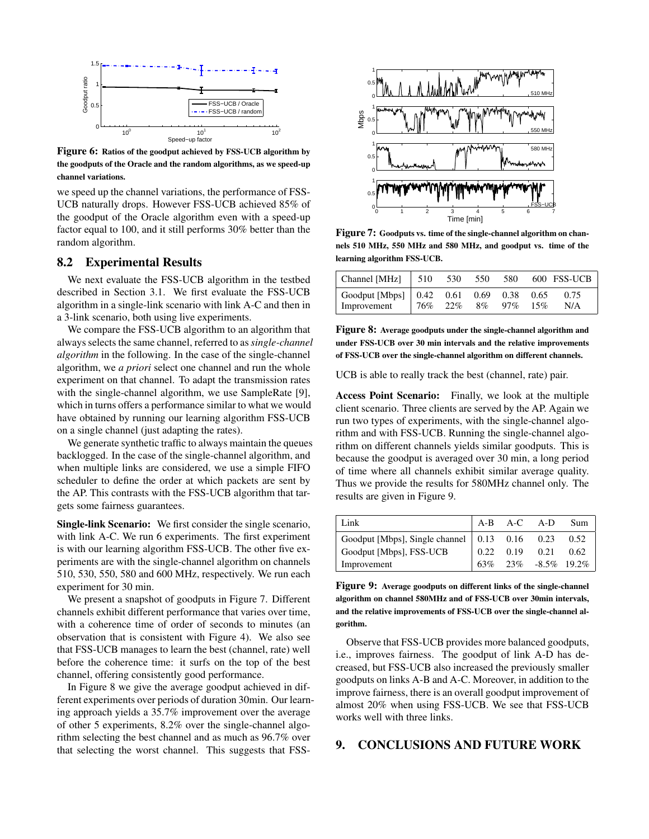

Figure 6: Ratios of the goodput achieved by FSS-UCB algorithm by the goodputs of the Oracle and the random algorithms, as we speed-up channel variations.

we speed up the channel variations, the performance of FSS-UCB naturally drops. However FSS-UCB achieved 85% of the goodput of the Oracle algorithm even with a speed-up factor equal to 100, and it still performs 30% better than the random algorithm.

#### 8.2 Experimental Results

We next evaluate the FSS-UCB algorithm in the testbed described in Section 3.1. We first evaluate the FSS-UCB algorithm in a single-link scenario with link A-C and then in a 3-link scenario, both using live experiments.

We compare the FSS-UCB algorithm to an algorithm that always selects the same channel, referred to as*single-channel algorithm* in the following. In the case of the single-channel algorithm, we *a priori* select one channel and run the whole experiment on that channel. To adapt the transmission rates with the single-channel algorithm, we use SampleRate [9], which in turns offers a performance similar to what we would have obtained by running our learning algorithm FSS-UCB on a single channel (just adapting the rates).

We generate synthetic traffic to always maintain the queues backlogged. In the case of the single-channel algorithm, and when multiple links are considered, we use a simple FIFO scheduler to define the order at which packets are sent by the AP. This contrasts with the FSS-UCB algorithm that targets some fairness guarantees.

Single-link Scenario: We first consider the single scenario, with link A-C. We run 6 experiments. The first experiment is with our learning algorithm FSS-UCB. The other five experiments are with the single-channel algorithm on channels 510, 530, 550, 580 and 600 MHz, respectively. We run each experiment for 30 min.

We present a snapshot of goodputs in Figure 7. Different channels exhibit different performance that varies over time, with a coherence time of order of seconds to minutes (an observation that is consistent with Figure 4). We also see that FSS-UCB manages to learn the best (channel, rate) well before the coherence time: it surfs on the top of the best channel, offering consistently good performance.

In Figure 8 we give the average goodput achieved in different experiments over periods of duration 30min. Our learning approach yields a 35.7% improvement over the average of other 5 experiments, 8.2% over the single-channel algorithm selecting the best channel and as much as 96.7% over that selecting the worst channel. This suggests that FSS-



Figure 7: Goodputs vs. time of the single-channel algorithm on channels 510 MHz, 550 MHz and 580 MHz, and goodput vs. time of the learning algorithm FSS-UCB.

| $\vert$ Channel [MHz] $\vert$ 510                                 |     | 530 | 550 | 580    |             | 600 FSS-UCB |
|-------------------------------------------------------------------|-----|-----|-----|--------|-------------|-------------|
| $\vert$ Goodput [Mbps] $\vert$ 0.42 0.61 0.69 0.38<br>Improvement | 76% | 22% | 8%  | $97\%$ | 0.65<br>15% | 0.75<br>N/A |

Figure 8: Average goodputs under the single-channel algorithm and under FSS-UCB over 30 min intervals and the relative improvements of FSS-UCB over the single-channel algorithm on different channels.

UCB is able to really track the best (channel, rate) pair.

Access Point Scenario: Finally, we look at the multiple client scenario. Three clients are served by the AP. Again we run two types of experiments, with the single-channel algorithm and with FSS-UCB. Running the single-channel algorithm on different channels yields similar goodputs. This is because the goodput is averaged over 30 min, a long period of time where all channels exhibit similar average quality. Thus we provide the results for 580MHz channel only. The results are given in Figure 9.

| Link                                                 |  | A-B A-C A-D                                                    | – Sum |
|------------------------------------------------------|--|----------------------------------------------------------------|-------|
| Goodput [Mbps], Single channel   0.13 0.16 0.23 0.52 |  |                                                                |       |
| Goodput [Mbps], FSS-UCB                              |  | $\begin{array}{cccc} \n0.22 & 0.19 & 0.21 & 0.62\n\end{array}$ |       |
| Improvement                                          |  | 63% 23% -8.5% 19.2%                                            |       |

Figure 9: Average goodputs on different links of the single-channel algorithm on channel 580MHz and of FSS-UCB over 30min intervals, and the relative improvements of FSS-UCB over the single-channel algorithm.

Observe that FSS-UCB provides more balanced goodputs, i.e., improves fairness. The goodput of link A-D has decreased, but FSS-UCB also increased the previously smaller goodputs on links A-B and A-C. Moreover, in addition to the improve fairness, there is an overall goodput improvement of almost 20% when using FSS-UCB. We see that FSS-UCB works well with three links.

# 9. CONCLUSIONS AND FUTURE WORK